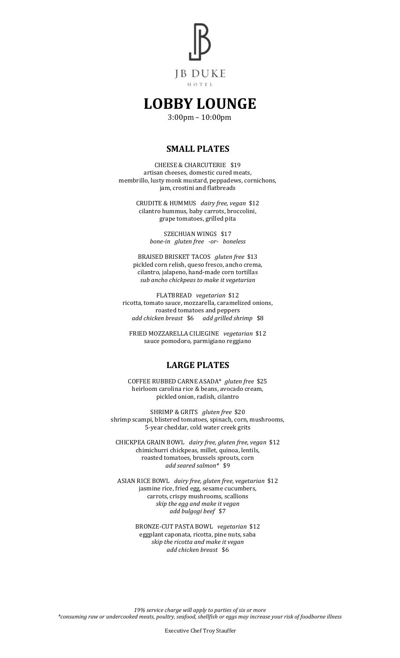

# **LOBBY LOUNGE**

3:00pm – 10:00pm

### **SMALL PLATES**

CHEESE & CHARCUTERIE \$19 artisan cheeses, domestic cured meats, membrillo, lusty monk mustard, peppadews, cornichons, jam, crostini and flatbreads

> CRUDITE & HUMMUS *dairy free, vegan* \$12 cilantro hummus, baby carrots, broccolini, grape tomatoes, grilled pita

> > SZECHUAN WINGS \$17 *bone-in gluten free -or- boneless*

BRAISED BRISKET TACOS *gluten free* \$13 pickled corn relish, queso fresco, ancho crema, cilantro, jalapeno, hand-made corn tortillas *sub ancho chickpeas to make it vegetarian*

FLATBREAD *vegetarian* \$12 ricotta, tomato sauce, mozzarella, caramelized onions, roasted tomatoes and peppers *add chicken breast* \$6 *add grilled shrimp* \$8

FRIED MOZZARELLA CILIEGINE *vegetarian* \$12 sauce pomodoro, parmigiano reggiano

### **LARGE PLATES**

COFFEE RUBBED CARNE ASADA\* *gluten free* \$25 heirloom carolina rice & beans, avocado cream, pickled onion, radish, cilantro

SHRIMP & GRITS *gluten free* \$20 shrimp scampi, blistered tomatoes, spinach, corn, mushrooms, 5-year cheddar, cold water creek grits

CHICKPEA GRAIN BOWL *dairy free, gluten free, vegan* \$12 chimichurri chickpeas, millet, quinoa, lentils, roasted tomatoes, brussels sprouts, corn *add seared salmon\** \$9

ASIAN RICE BOWL *dairy free, gluten free, vegetarian* \$12 jasmine rice, fried egg, sesame cucumbers, carrots, crispy mushrooms, scallions *skip the egg and make it vegan add bulgogi beef* \$7

> BRONZE-CUT PASTA BOWL *vegetarian* \$12 eggplant caponata, ricotta, pine nuts, saba *skip the ricotta and make it vegan add chicken breast* \$6